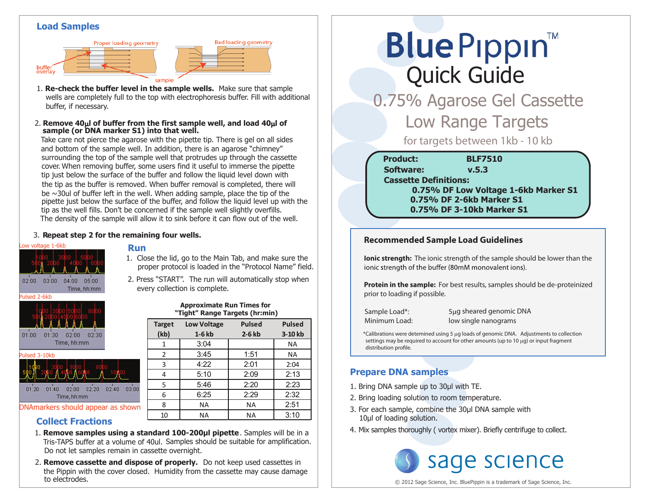#### **Load Samples**



- 1. **Re-check the buffer level in the sample wells.** Make sure that sample wells are completely full to the top with electrophoresis buffer. Fill with additional buffer, if necessary.
- **sample (or DNA marker S1) into that well.** 2. Remove  $40\mu$  of buffer from the first sample well, and load  $40\mu$  of

Take care not pierce the agarose with the pipette tip. There is gel on all sides and bottom of the sample well. In addition, there is an agarose "chimney" surrounding the top of the sample well that protrudes up through the cassette cover. When removing buffer, some users find it useful to immerse the pipette tip just below the surface of the buffer and follow the liquid level down with the tip as the buffer is removed. When buffer removal is completed, there will be  $\sim$ 30ul of buffer left in the well. When adding sample, place the tip of the pipette just below the surface of the buffer, and follow the liquid level up with the tip as the well fills. Don't be concerned if the sample well slightly overfills. The density of the sample will allow it to sink before it can flow out of the well.

#### 3. **Repeat step 2 for the remaining four wells.**

# Low voltage 1-6kb  $02:00$   $03:00$   $04:00$   $05:00$ Time, hh:mm ulsed 2-6kb  $01:00$   $01:30$   $02:00$   $02:30$ Time, hh:mm Pulsed 3-10kb

# **Run**

1. Close the lid, go to the Main Tab, and make sure the proper protocol is loaded in the "Protocol Name" field.

**Bad loading geometry** 

2. Press "START". The run will automatically stop when every collection is complete.

#### **Approximate Run Times for "Tight" Range Targets (hr:min)**

| <b>TEAR</b><br><b>JOKA</b><br>02:30<br>01:00<br>01:30<br>02:00 | <b>Target</b><br>(kb) | <b>Low Voltage</b><br>$1-6$ kb | <b>Pulsed</b><br>$2-6$ kb | <b>Pulsed</b><br>3-10 kb |
|----------------------------------------------------------------|-----------------------|--------------------------------|---------------------------|--------------------------|
| Time, hh:mm                                                    |                       | 3:04                           |                           | <b>NA</b>                |
| Pulsed 3-10kb                                                  | $\mathcal{P}$         | 3:45                           | 1:51                      | <b>NA</b>                |
|                                                                | 3                     | 4:22                           | 2:01                      | 2:04                     |
| 100 O                                                          | 4                     | 5:10                           | 2:09                      | 2:13                     |
| 01:20<br>01:40<br>02:20<br>02:40<br>03:00<br>02:00             | 5                     | 5:46                           | 2:20                      | 2:23                     |
| Time, hh:mm                                                    | 6                     | 6:25                           | 2:29                      | 2:32                     |
| DNAmarkers should appear as shown                              | 8                     | <b>NA</b>                      | <b>NA</b>                 | 2:51                     |
| Artillian Harristan                                            | 10                    | <b>NA</b>                      | <b>NA</b>                 | 3:10                     |

#### **Collect Fractions**

- Tris-TAPS buffer at a volume of 40ul. Samples should be suitable for amplification. 1. **Remove samples using a standard 100-200µl pipette**. Samples will be in a Do not let samples remain in cassette overnight.
- 2. **Remove cassette and dispose of properly.** Do not keep used cassettes in the Pippin with the cover closed. Humidity from the cassette may cause damage to electrodes.

# **Blue Pippin** Quick Guide

 0.75% Agarose Gel Cassette **Low Range Targets** 

for targets between 1kb - 10 kb

| <b>Product:</b>              | <b>BLF7510</b>                       |
|------------------------------|--------------------------------------|
| <b>Software:</b>             | v.5.3                                |
| <b>Cassette Definitions:</b> |                                      |
|                              | 0.75% DF Low Voltage 1-6kb Marker S1 |
|                              | 0.75% DF 2-6kb Marker S1             |
|                              | 0.75% DF 3-10kb Marker S1            |

#### **Recommended Sample Load Guidelines**

**Ionic strength:** The ionic strength of the sample should be lower than the ionic strength of the buffer (80mM monovalent ions).

**Protein in the sample:** For best results, samples should be de-proteinized prior to loading if possible.

Sample Load\*: 5µg sheared genomic DNA Minimum Load: low single nanograms

\*Calibrations were detemined using 5 µg loads of genomic DNA. Adjustments to collection settings may be required to account for other amounts (up to 10 µg) or input fragment distribution profile.

#### **Prepare DNA samples**

- 1. Bring DNA sample up to 30μl with TE.
- 2. Bring loading solution to room temperature.
- 3. For each sample, combine the 30μl DNA sample with 10μl of loading solution.
- 4. Mix samples thoroughly ( vortex mixer). Briefly centrifuge to collect.